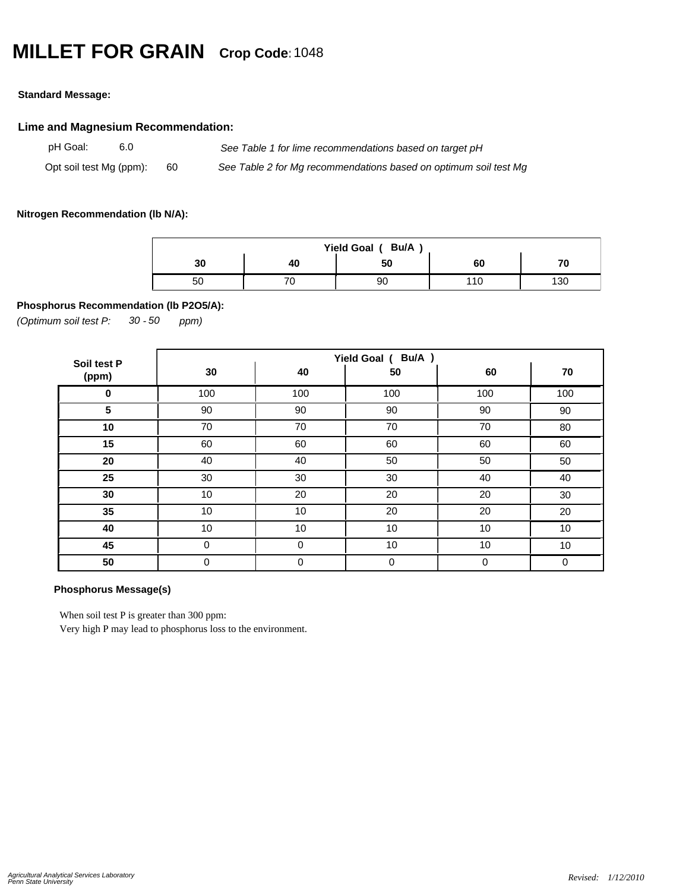# **MILLET FOR GRAIN Crop Code:**<sup>1048</sup>

#### **Standard Message:**

# **Lime and Magnesium Recommendation:**

pH Goal: 6.0 *See Table 1 for lime recommendations based on target pH* Opt soil test Mg (ppm): 60 *See Table 2 for Mg recommendations based on optimum soil test Mg*

### **Nitrogen Recommendation (lb N/A):**

| Bu/A<br>Yield Goal ( |    |    |    |     |  |  |  |  |  |
|----------------------|----|----|----|-----|--|--|--|--|--|
| 30                   | 40 | 50 | 60 |     |  |  |  |  |  |
| ას                   | v  | 90 | 10 | 130 |  |  |  |  |  |

# **Phosphorus Recommendation (lb P2O5/A):**

*(Optimum soil test P: 30 ppm) - 50*

| Soil test P | Yield Goal ( Bu/A ) |             |     |     |     |  |  |
|-------------|---------------------|-------------|-----|-----|-----|--|--|
| (ppm)       | 30                  | 40          | 50  | 60  | 70  |  |  |
| $\bf{0}$    | 100                 | 100         | 100 | 100 | 100 |  |  |
| 5           | 90                  | 90          | 90  | 90  | 90  |  |  |
| 10          | 70                  | 70          | 70  | 70  | 80  |  |  |
| 15          | 60                  | 60          | 60  | 60  | 60  |  |  |
| 20          | 40                  | 40          | 50  | 50  | 50  |  |  |
| 25          | 30                  | 30          | 30  | 40  | 40  |  |  |
| 30          | 10                  | 20          | 20  | 20  | 30  |  |  |
| 35          | 10                  | 10          | 20  | 20  | 20  |  |  |
| 40          | 10                  | 10          | 10  | 10  | 10  |  |  |
| 45          | 0                   | 0           | 10  | 10  | 10  |  |  |
| 50          | 0                   | $\mathbf 0$ | 0   | 0   | 0   |  |  |

#### **Phosphorus Message(s)**

When soil test P is greater than 300 ppm:

Very high P may lead to phosphorus loss to the environment.